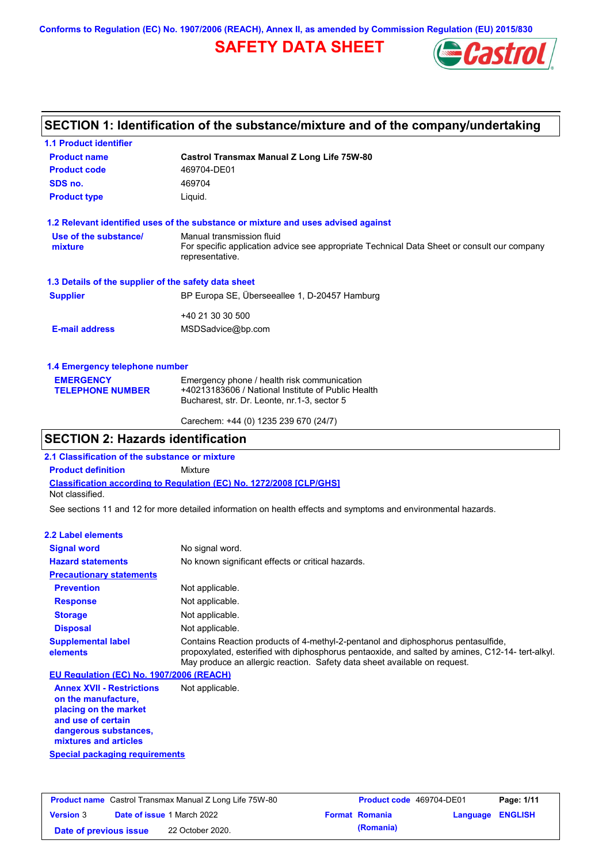**Conforms to Regulation (EC) No. 1907/2006 (REACH), Annex II, as amended by Commission Regulation (EU) 2015/830**

## **SAFETY DATA SHEET**



## **SECTION 1: Identification of the substance/mixture and of the company/undertaking**

| <b>1.1 Product identifier</b>                        |                                                                                                                |  |  |  |  |
|------------------------------------------------------|----------------------------------------------------------------------------------------------------------------|--|--|--|--|
| <b>Product name</b>                                  | Castrol Transmax Manual Z Long Life 75W-80                                                                     |  |  |  |  |
| <b>Product code</b>                                  | 469704-DE01                                                                                                    |  |  |  |  |
| SDS no.                                              | 469704                                                                                                         |  |  |  |  |
| <b>Product type</b><br>Liquid.                       |                                                                                                                |  |  |  |  |
|                                                      | 1.2 Relevant identified uses of the substance or mixture and uses advised against                              |  |  |  |  |
| Use of the substance/                                | Manual transmission fluid                                                                                      |  |  |  |  |
| mixture                                              | For specific application advice see appropriate Technical Data Sheet or consult our company<br>representative. |  |  |  |  |
| 1.3 Details of the supplier of the safety data sheet |                                                                                                                |  |  |  |  |
| <b>Supplier</b>                                      | BP Europa SE, Überseeallee 1, D-20457 Hamburg                                                                  |  |  |  |  |
|                                                      | +40 21 30 30 500                                                                                               |  |  |  |  |
| <b>E-mail address</b>                                | MSDSadvice@bp.com                                                                                              |  |  |  |  |
| 1.4 Emergency telephone number                       |                                                                                                                |  |  |  |  |
| <b>EMERGENCY</b>                                     | Emergency phone / health risk communication                                                                    |  |  |  |  |
| <b>TELEPHONE NUMBER</b>                              | +40213183606 / National Institute of Public Health                                                             |  |  |  |  |
|                                                      | Bucharest, str. Dr. Leonte, nr.1-3, sector 5                                                                   |  |  |  |  |

## **SECTION 2: Hazards identification**

**2.1 Classification of the substance or mixture**

**Product definition** Mixture

**Classification according to Regulation (EC) No. 1272/2008 [CLP/GHS]** Not classified.

See sections 11 and 12 for more detailed information on health effects and symptoms and environmental hazards.

Carechem: +44 (0) 1235 239 670 (24/7)

#### **2.2 Label elements**

| <b>Signal word</b>                       | No signal word.                                                                                                                                                                                                                                                   |
|------------------------------------------|-------------------------------------------------------------------------------------------------------------------------------------------------------------------------------------------------------------------------------------------------------------------|
| <b>Hazard statements</b>                 | No known significant effects or critical hazards.                                                                                                                                                                                                                 |
| <b>Precautionary statements</b>          |                                                                                                                                                                                                                                                                   |
| <b>Prevention</b>                        | Not applicable.                                                                                                                                                                                                                                                   |
| <b>Response</b>                          | Not applicable.                                                                                                                                                                                                                                                   |
| <b>Storage</b>                           | Not applicable.                                                                                                                                                                                                                                                   |
| <b>Disposal</b>                          | Not applicable.                                                                                                                                                                                                                                                   |
| <b>Supplemental label</b><br>elements    | Contains Reaction products of 4-methyl-2-pentanol and diphosphorus pentasulfide,<br>propoxylated, esterified with diphosphorus pentaoxide, and salted by amines, C12-14- tert-alkyl.<br>May produce an allergic reaction. Safety data sheet available on request. |
| EU Regulation (EC) No. 1907/2006 (REACH) |                                                                                                                                                                                                                                                                   |

**Annex XVII - Restrictions on the manufacture, placing on the market and use of certain dangerous substances, mixtures and articles** Not applicable.

**Special packaging requirements**

| <b>Product name</b> Castrol Transmax Manual Z Long Life 75W-80 |  | <b>Product code</b> 469704-DE01   |  | Page: 1/11            |                         |  |
|----------------------------------------------------------------|--|-----------------------------------|--|-----------------------|-------------------------|--|
| <b>Version 3</b>                                               |  | <b>Date of issue 1 March 2022</b> |  | <b>Format Romania</b> | <b>Language ENGLISH</b> |  |
| Date of previous issue                                         |  | 22 October 2020.                  |  | (Romania)             |                         |  |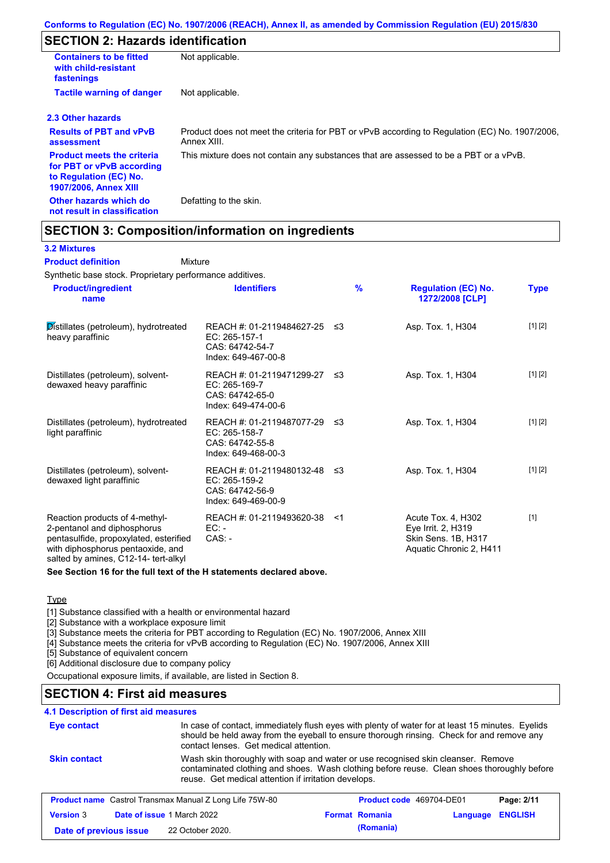## **SECTION 2: Hazards identification**

| <b>Containers to be fitted</b><br>with child-resistant<br>fastenings                                                     | Not applicable.                                                                                               |
|--------------------------------------------------------------------------------------------------------------------------|---------------------------------------------------------------------------------------------------------------|
| <b>Tactile warning of danger</b>                                                                                         | Not applicable.                                                                                               |
| 2.3 Other hazards                                                                                                        |                                                                                                               |
| <b>Results of PBT and vPvB</b><br>assessment                                                                             | Product does not meet the criteria for PBT or vPvB according to Regulation (EC) No. 1907/2006,<br>Annex XIII. |
| <b>Product meets the criteria</b><br>for PBT or vPvB according<br>to Regulation (EC) No.<br><b>1907/2006, Annex XIII</b> | This mixture does not contain any substances that are assessed to be a PBT or a vPvB.                         |
| Other hazards which do<br>not result in classification                                                                   | Defatting to the skin.                                                                                        |

## **SECTION 3: Composition/information on ingredients**

#### **3.2 Mixtures**

**Product definition**

Mixture

Synthetic base stock. Proprietary performance additives.

| <b>Product/ingredient</b><br>name                                                                                                                                                    | <b>Identifiers</b>                                                                      | $\frac{9}{6}$ | <b>Regulation (EC) No.</b><br>1272/2008 [CLP]                                              | <b>Type</b> |
|--------------------------------------------------------------------------------------------------------------------------------------------------------------------------------------|-----------------------------------------------------------------------------------------|---------------|--------------------------------------------------------------------------------------------|-------------|
| Distillates (petroleum), hydrotreated<br>heavy paraffinic                                                                                                                            | REACH #: 01-2119484627-25<br>EC: 265-157-1<br>CAS: 64742-54-7<br>Index: 649-467-00-8    | -≤3           | Asp. Tox. 1, H304                                                                          | [1] [2]     |
| Distillates (petroleum), solvent-<br>dewaxed heavy paraffinic                                                                                                                        | REACH #: 01-2119471299-27 ≤3<br>EC: 265-169-7<br>CAS: 64742-65-0<br>Index: 649-474-00-6 |               | Asp. Tox. 1, H304                                                                          | [1] [2]     |
| Distillates (petroleum), hydrotreated<br>light paraffinic                                                                                                                            | REACH #: 01-2119487077-29<br>EC: 265-158-7<br>CAS: 64742-55-8<br>Index: 649-468-00-3    | - ≤3          | Asp. Tox. 1, H304                                                                          | [1] [2]     |
| Distillates (petroleum), solvent-<br>dewaxed light paraffinic                                                                                                                        | REACH #: 01-2119480132-48 ≤3<br>EC: 265-159-2<br>CAS: 64742-56-9<br>Index: 649-469-00-9 |               | Asp. Tox. 1, H304                                                                          | [1] [2]     |
| Reaction products of 4-methyl-<br>2-pentanol and diphosphorus<br>pentasulfide, propoxylated, esterified<br>with diphosphorus pentaoxide, and<br>salted by amines, C12-14- tert-alkyl | REACH #: 01-2119493620-38<br>$EC: -$<br>$CAS: -$                                        | <1            | Acute Tox. 4, H302<br>Eye Irrit. 2, H319<br>Skin Sens. 1B, H317<br>Aquatic Chronic 2, H411 | $[1]$       |

**See Section 16 for the full text of the H statements declared above.**

#### **Type**

[1] Substance classified with a health or environmental hazard

[2] Substance with a workplace exposure limit

[3] Substance meets the criteria for PBT according to Regulation (EC) No. 1907/2006, Annex XIII

[4] Substance meets the criteria for vPvB according to Regulation (EC) No. 1907/2006, Annex XIII

[5] Substance of equivalent concern

[6] Additional disclosure due to company policy

Occupational exposure limits, if available, are listed in Section 8.

### **SECTION 4: First aid measures**

#### **4.1 Description of first aid measures**

| Eye contact                                                                                                     | contact lenses. Get medical attention.               | In case of contact, immediately flush eyes with plenty of water for at least 15 minutes. Eyelids<br>should be held away from the eyeball to ensure thorough rinsing. Check for and remove any |                                                                                            |
|-----------------------------------------------------------------------------------------------------------------|------------------------------------------------------|-----------------------------------------------------------------------------------------------------------------------------------------------------------------------------------------------|--------------------------------------------------------------------------------------------|
| <b>Skin contact</b>                                                                                             | reuse. Get medical attention if irritation develops. | Wash skin thoroughly with soap and water or use recognised skin cleanser. Remove                                                                                                              | contaminated clothing and shoes. Wash clothing before reuse. Clean shoes thoroughly before |
| <b>Product name</b> Castrol Transmax Manual Z Long Life 75W-80<br><b>Product code</b> 469704-DE01<br>Page: 2/11 |                                                      |                                                                                                                                                                                               |                                                                                            |
| <b>Version 3</b>                                                                                                | Date of issue 1 March 2022                           | <b>Format Romania</b>                                                                                                                                                                         | <b>ENGLISH</b><br>Language                                                                 |
| Date of previous issue                                                                                          | 22 October 2020.                                     | (Romania)                                                                                                                                                                                     |                                                                                            |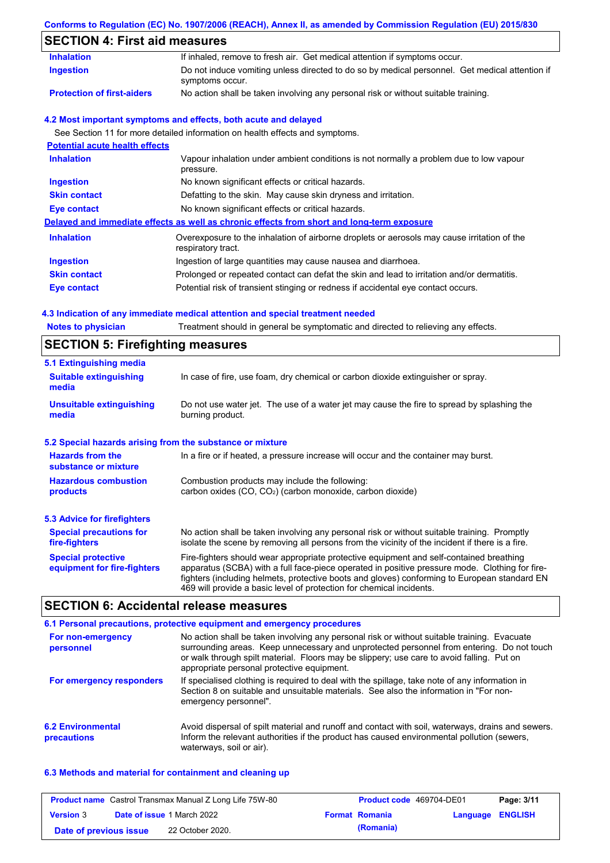## **Conforms to Regulation (EC) No. 1907/2006 (REACH), Annex II, as amended by Commission Regulation (EU) 2015/830**

## **SECTION 4: First aid measures**

| 3LV I IVIN 4. I II SL AIU IIIEASUI ES |                                                                                                                   |  |  |  |
|---------------------------------------|-------------------------------------------------------------------------------------------------------------------|--|--|--|
| <b>Inhalation</b>                     | If inhaled, remove to fresh air. Get medical attention if symptoms occur.                                         |  |  |  |
| <b>Ingestion</b>                      | Do not induce vomiting unless directed to do so by medical personnel. Get medical attention if<br>symptoms occur. |  |  |  |
| <b>Protection of first-aiders</b>     | No action shall be taken involving any personal risk or without suitable training.                                |  |  |  |
|                                       | 4.2 Most important symptoms and effects, both acute and delayed                                                   |  |  |  |
|                                       | See Section 11 for more detailed information on health effects and symptoms.                                      |  |  |  |
| <b>Potential acute health effects</b> |                                                                                                                   |  |  |  |
| <b>Inhalation</b>                     | Vapour inhalation under ambient conditions is not normally a problem due to low vapour<br>pressure.               |  |  |  |
| Ingestion                             | No known significant effects or critical hazards.                                                                 |  |  |  |
| <b>Skin contact</b>                   | Defatting to the skin. May cause skin dryness and irritation.                                                     |  |  |  |
| <b>Eye contact</b>                    | No known significant effects or critical hazards.                                                                 |  |  |  |
|                                       | Delayed and immediate effects as well as chronic effects from short and long-term exposure                        |  |  |  |
| <b>Inhalation</b>                     | Overexposure to the inhalation of airborne droplets or aerosols may cause irritation of the<br>respiratory tract. |  |  |  |
| <b>Ingestion</b>                      | Ingestion of large quantities may cause nausea and diarrhoea.                                                     |  |  |  |
| <b>Skin contact</b>                   | Prolonged or repeated contact can defat the skin and lead to irritation and/or dermatitis.                        |  |  |  |
| Eye contact                           | Potential risk of transient stinging or redness if accidental eye contact occurs.                                 |  |  |  |
|                                       |                                                                                                                   |  |  |  |

### **4.3 Indication of any immediate medical attention and special treatment needed**

| <b>Notes to physician</b>                                 | Treatment should in general be symptomatic and directed to relieving any effects.                                                                                                                                                                                                                                                                                 |  |  |  |
|-----------------------------------------------------------|-------------------------------------------------------------------------------------------------------------------------------------------------------------------------------------------------------------------------------------------------------------------------------------------------------------------------------------------------------------------|--|--|--|
| <b>SECTION 5: Firefighting measures</b>                   |                                                                                                                                                                                                                                                                                                                                                                   |  |  |  |
| 5.1 Extinguishing media                                   |                                                                                                                                                                                                                                                                                                                                                                   |  |  |  |
| <b>Suitable extinguishing</b><br>media                    | In case of fire, use foam, dry chemical or carbon dioxide extinguisher or spray.                                                                                                                                                                                                                                                                                  |  |  |  |
| <b>Unsuitable extinguishing</b><br>media                  | Do not use water jet. The use of a water jet may cause the fire to spread by splashing the<br>burning product.                                                                                                                                                                                                                                                    |  |  |  |
| 5.2 Special hazards arising from the substance or mixture |                                                                                                                                                                                                                                                                                                                                                                   |  |  |  |
| <b>Hazards from the</b><br>substance or mixture           | In a fire or if heated, a pressure increase will occur and the container may burst.                                                                                                                                                                                                                                                                               |  |  |  |
| <b>Hazardous combustion</b>                               | Combustion products may include the following:                                                                                                                                                                                                                                                                                                                    |  |  |  |
| products                                                  | carbon oxides (CO, CO <sub>2</sub> ) (carbon monoxide, carbon dioxide)                                                                                                                                                                                                                                                                                            |  |  |  |
| 5.3 Advice for firefighters                               |                                                                                                                                                                                                                                                                                                                                                                   |  |  |  |
| <b>Special precautions for</b><br>fire-fighters           | No action shall be taken involving any personal risk or without suitable training. Promptly<br>isolate the scene by removing all persons from the vicinity of the incident if there is a fire.                                                                                                                                                                    |  |  |  |
| <b>Special protective</b><br>equipment for fire-fighters  | Fire-fighters should wear appropriate protective equipment and self-contained breathing<br>apparatus (SCBA) with a full face-piece operated in positive pressure mode. Clothing for fire-<br>fighters (including helmets, protective boots and gloves) conforming to European standard EN<br>469 will provide a basic level of protection for chemical incidents. |  |  |  |

## **SECTION 6: Accidental release measures**

|                                         | 6.1 Personal precautions, protective equipment and emergency procedures                                                                                                                                                                                                                                                             |
|-----------------------------------------|-------------------------------------------------------------------------------------------------------------------------------------------------------------------------------------------------------------------------------------------------------------------------------------------------------------------------------------|
| For non-emergency<br>personnel          | No action shall be taken involving any personal risk or without suitable training. Evacuate<br>surrounding areas. Keep unnecessary and unprotected personnel from entering. Do not touch<br>or walk through spilt material. Floors may be slippery; use care to avoid falling. Put on<br>appropriate personal protective equipment. |
| For emergency responders                | If specialised clothing is required to deal with the spillage, take note of any information in<br>Section 8 on suitable and unsuitable materials. See also the information in "For non-<br>emergency personnel".                                                                                                                    |
| <b>6.2 Environmental</b><br>precautions | Avoid dispersal of spilt material and runoff and contact with soil, waterways, drains and sewers.<br>Inform the relevant authorities if the product has caused environmental pollution (sewers,<br>waterways, soil or air).                                                                                                         |

#### **6.3 Methods and material for containment and cleaning up**

|                        | <b>Product name</b> Castrol Transmax Manual Z Long Life 75W-80 | <b>Product code</b> 469704-DE01 |                         | Page: 3/11 |
|------------------------|----------------------------------------------------------------|---------------------------------|-------------------------|------------|
| <b>Version 3</b>       | <b>Date of issue 1 March 2022</b>                              | <b>Format Romania</b>           | <b>Language ENGLISH</b> |            |
| Date of previous issue | 22 October 2020.                                               | (Romania)                       |                         |            |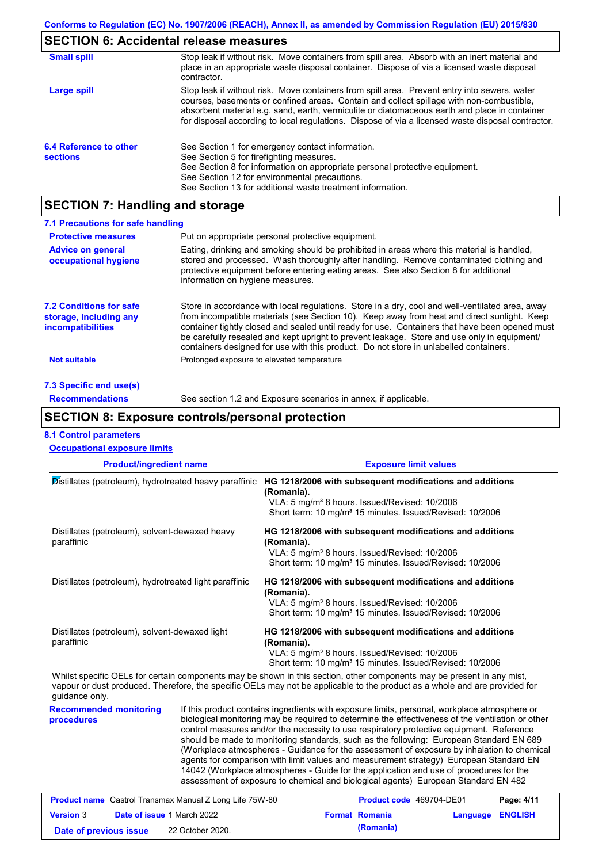# **SECTION 6: Accidental release measures**

| <b>Small spill</b>                        | Stop leak if without risk. Move containers from spill area. Absorb with an inert material and<br>place in an appropriate waste disposal container. Dispose of via a licensed waste disposal<br>contractor.                                                                                                                                                                                     |
|-------------------------------------------|------------------------------------------------------------------------------------------------------------------------------------------------------------------------------------------------------------------------------------------------------------------------------------------------------------------------------------------------------------------------------------------------|
| Large spill                               | Stop leak if without risk. Move containers from spill area. Prevent entry into sewers, water<br>courses, basements or confined areas. Contain and collect spillage with non-combustible,<br>absorbent material e.g. sand, earth, vermiculite or diatomaceous earth and place in container<br>for disposal according to local regulations. Dispose of via a licensed waste disposal contractor. |
| 6.4 Reference to other<br><b>sections</b> | See Section 1 for emergency contact information.<br>See Section 5 for firefighting measures.<br>See Section 8 for information on appropriate personal protective equipment.<br>See Section 12 for environmental precautions.<br>See Section 13 for additional waste treatment information.                                                                                                     |

# **SECTION 7: Handling and storage**

| 7.1 Precautions for safe handling                                             |                                                                                                                                                                                                                                                                                                                                                                                                                                                                                          |  |  |  |
|-------------------------------------------------------------------------------|------------------------------------------------------------------------------------------------------------------------------------------------------------------------------------------------------------------------------------------------------------------------------------------------------------------------------------------------------------------------------------------------------------------------------------------------------------------------------------------|--|--|--|
| <b>Protective measures</b>                                                    | Put on appropriate personal protective equipment.                                                                                                                                                                                                                                                                                                                                                                                                                                        |  |  |  |
| <b>Advice on general</b><br>occupational hygiene                              | Eating, drinking and smoking should be prohibited in areas where this material is handled,<br>stored and processed. Wash thoroughly after handling. Remove contaminated clothing and<br>protective equipment before entering eating areas. See also Section 8 for additional<br>information on hygiene measures.                                                                                                                                                                         |  |  |  |
| <b>7.2 Conditions for safe</b><br>storage, including any<br>incompatibilities | Store in accordance with local requlations. Store in a dry, cool and well-ventilated area, away<br>from incompatible materials (see Section 10). Keep away from heat and direct sunlight. Keep<br>container tightly closed and sealed until ready for use. Containers that have been opened must<br>be carefully resealed and kept upright to prevent leakage. Store and use only in equipment/<br>containers designed for use with this product. Do not store in unlabelled containers. |  |  |  |
| Not suitable                                                                  | Prolonged exposure to elevated temperature                                                                                                                                                                                                                                                                                                                                                                                                                                               |  |  |  |
| 7.3 Specific end use(s)                                                       |                                                                                                                                                                                                                                                                                                                                                                                                                                                                                          |  |  |  |
| <b>Recommendations</b>                                                        | See section 1.2 and Exposure scenarios in annex, if applicable.                                                                                                                                                                                                                                                                                                                                                                                                                          |  |  |  |

### **SECTION 8: Exposure controls/personal protection**

#### **8.1 Control parameters**

| <b>Occupational exposure limits</b>                          |                                                                                                                                                                                                                                                                                              |  |  |
|--------------------------------------------------------------|----------------------------------------------------------------------------------------------------------------------------------------------------------------------------------------------------------------------------------------------------------------------------------------------|--|--|
| <b>Product/ingredient name</b>                               | <b>Exposure limit values</b>                                                                                                                                                                                                                                                                 |  |  |
| Distillates (petroleum), hydrotreated heavy paraffinic       | HG 1218/2006 with subsequent modifications and additions<br>(Romania).<br>VLA: 5 mg/m <sup>3</sup> 8 hours. Issued/Revised: 10/2006<br>Short term: 10 mg/m <sup>3</sup> 15 minutes. Issued/Revised: 10/2006                                                                                  |  |  |
| Distillates (petroleum), solvent-dewaxed heavy<br>paraffinic | HG 1218/2006 with subsequent modifications and additions<br>(Romania).<br>VLA: 5 mg/m <sup>3</sup> 8 hours. Issued/Revised: 10/2006<br>Short term: 10 mg/m <sup>3</sup> 15 minutes. Issued/Revised: 10/2006                                                                                  |  |  |
| Distillates (petroleum), hydrotreated light paraffinic       | HG 1218/2006 with subsequent modifications and additions<br>(Romania).<br>VLA: 5 mg/m <sup>3</sup> 8 hours. Issued/Revised: 10/2006<br>Short term: 10 mg/m <sup>3</sup> 15 minutes. Issued/Revised: 10/2006                                                                                  |  |  |
| Distillates (petroleum), solvent-dewaxed light<br>paraffinic | HG 1218/2006 with subsequent modifications and additions<br>(Romania).<br>VLA: 5 mg/m <sup>3</sup> 8 hours. Issued/Revised: 10/2006<br>Short term: 10 mg/m <sup>3</sup> 15 minutes. Issued/Revised: 10/2006                                                                                  |  |  |
| guidance only.                                               | Whilst specific OELs for certain components may be shown in this section, other components may be present in any mist,<br>vapour or dust produced. Therefore, the specific OELs may not be applicable to the product as a whole and are provided for                                         |  |  |
| <b>Recommended monitoring</b><br>procedures                  | If this product contains ingredients with exposure limits, personal, workplace atmosphere or<br>biological monitoring may be required to determine the effectiveness of the ventilation or other<br>control measures and/or the necessity to use respiratory protective equipment. Reference |  |  |

should be made to monitoring standards, such as the following: European Standard EN 689 (Workplace atmospheres - Guidance for the assessment of exposure by inhalation to chemical agents for comparison with limit values and measurement strategy) European Standard EN 14042 (Workplace atmospheres - Guide for the application and use of procedures for the assessment of exposure to chemical and biological agents) European Standard EN 482

|                        | <b>Product name</b> Castrol Transmax Manual Z Long Life 75W-80 | <b>Product code</b> 469704-DE01 |                  | Page: 4/11 |
|------------------------|----------------------------------------------------------------|---------------------------------|------------------|------------|
| <b>Version 3</b>       | <b>Date of issue 1 March 2022</b>                              | <b>Format Romania</b>           | Language ENGLISH |            |
| Date of previous issue | 22 October 2020.                                               | (Romania)                       |                  |            |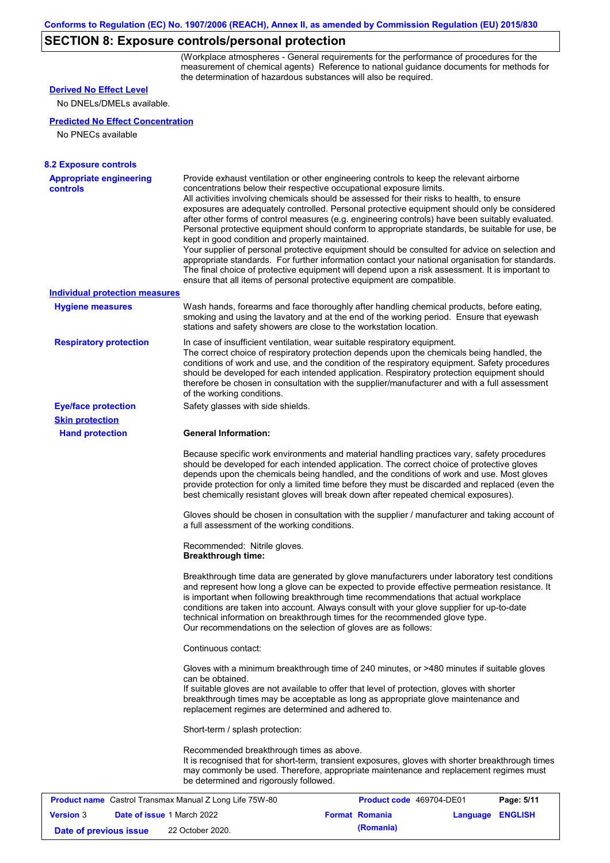## **SECTION 8: Exposure controls/personal protection**

(Workplace atmospheres - General requirements for the performance of procedures for the measurement of chemical agents) Reference to national guidance documents for methods for the determination of hazardous substances will also be required.

## **Derived No Effect Level**

No DNELs/DMELs available.

#### **Predicted No Effect Concentration**

No PNECs available

| <b>8.2 Exposure controls</b><br><b>Appropriate engineering</b> | Provide exhaust ventilation or other engineering controls to keep the relevant airborne                                                                                                                                                                                                                                                                                                                                                                                                                                                                                                                                                                                                                                                                                                                                                                                                                      |                          |                            |  |  |  |  |
|----------------------------------------------------------------|--------------------------------------------------------------------------------------------------------------------------------------------------------------------------------------------------------------------------------------------------------------------------------------------------------------------------------------------------------------------------------------------------------------------------------------------------------------------------------------------------------------------------------------------------------------------------------------------------------------------------------------------------------------------------------------------------------------------------------------------------------------------------------------------------------------------------------------------------------------------------------------------------------------|--------------------------|----------------------------|--|--|--|--|
| <b>controls</b>                                                | concentrations below their respective occupational exposure limits.<br>All activities involving chemicals should be assessed for their risks to health, to ensure<br>exposures are adequately controlled. Personal protective equipment should only be considered<br>after other forms of control measures (e.g. engineering controls) have been suitably evaluated.<br>Personal protective equipment should conform to appropriate standards, be suitable for use, be<br>kept in good condition and properly maintained.<br>Your supplier of personal protective equipment should be consulted for advice on selection and<br>appropriate standards. For further information contact your national organisation for standards.<br>The final choice of protective equipment will depend upon a risk assessment. It is important to<br>ensure that all items of personal protective equipment are compatible. |                          |                            |  |  |  |  |
| <b>Individual protection measures</b>                          |                                                                                                                                                                                                                                                                                                                                                                                                                                                                                                                                                                                                                                                                                                                                                                                                                                                                                                              |                          |                            |  |  |  |  |
| <b>Hygiene measures</b>                                        | Wash hands, forearms and face thoroughly after handling chemical products, before eating,<br>smoking and using the lavatory and at the end of the working period. Ensure that eyewash<br>stations and safety showers are close to the workstation location.                                                                                                                                                                                                                                                                                                                                                                                                                                                                                                                                                                                                                                                  |                          |                            |  |  |  |  |
| <b>Respiratory protection</b>                                  | In case of insufficient ventilation, wear suitable respiratory equipment.<br>The correct choice of respiratory protection depends upon the chemicals being handled, the<br>conditions of work and use, and the condition of the respiratory equipment. Safety procedures<br>should be developed for each intended application. Respiratory protection equipment should<br>therefore be chosen in consultation with the supplier/manufacturer and with a full assessment<br>of the working conditions.                                                                                                                                                                                                                                                                                                                                                                                                        |                          |                            |  |  |  |  |
| <b>Eye/face protection</b>                                     | Safety glasses with side shields.                                                                                                                                                                                                                                                                                                                                                                                                                                                                                                                                                                                                                                                                                                                                                                                                                                                                            |                          |                            |  |  |  |  |
| <b>Skin protection</b>                                         |                                                                                                                                                                                                                                                                                                                                                                                                                                                                                                                                                                                                                                                                                                                                                                                                                                                                                                              |                          |                            |  |  |  |  |
| <b>Hand protection</b>                                         | <b>General Information:</b>                                                                                                                                                                                                                                                                                                                                                                                                                                                                                                                                                                                                                                                                                                                                                                                                                                                                                  |                          |                            |  |  |  |  |
|                                                                | Because specific work environments and material handling practices vary, safety procedures<br>should be developed for each intended application. The correct choice of protective gloves<br>depends upon the chemicals being handled, and the conditions of work and use. Most gloves<br>provide protection for only a limited time before they must be discarded and replaced (even the<br>best chemically resistant gloves will break down after repeated chemical exposures).                                                                                                                                                                                                                                                                                                                                                                                                                             |                          |                            |  |  |  |  |
|                                                                | Gloves should be chosen in consultation with the supplier / manufacturer and taking account of<br>a full assessment of the working conditions.                                                                                                                                                                                                                                                                                                                                                                                                                                                                                                                                                                                                                                                                                                                                                               |                          |                            |  |  |  |  |
|                                                                | Recommended: Nitrile gloves.<br><b>Breakthrough time:</b>                                                                                                                                                                                                                                                                                                                                                                                                                                                                                                                                                                                                                                                                                                                                                                                                                                                    |                          |                            |  |  |  |  |
|                                                                | Breakthrough time data are generated by glove manufacturers under laboratory test conditions<br>and represent how long a glove can be expected to provide effective permeation resistance. It<br>is important when following breakthrough time recommendations that actual workplace<br>conditions are taken into account. Always consult with your glove supplier for up-to-date<br>technical information on breakthrough times for the recommended glove type.<br>Our recommendations on the selection of gloves are as follows:                                                                                                                                                                                                                                                                                                                                                                           |                          |                            |  |  |  |  |
|                                                                | Continuous contact:                                                                                                                                                                                                                                                                                                                                                                                                                                                                                                                                                                                                                                                                                                                                                                                                                                                                                          |                          |                            |  |  |  |  |
|                                                                | Gloves with a minimum breakthrough time of 240 minutes, or >480 minutes if suitable gloves<br>can be obtained.<br>If suitable gloves are not available to offer that level of protection, gloves with shorter<br>breakthrough times may be acceptable as long as appropriate glove maintenance and<br>replacement regimes are determined and adhered to.                                                                                                                                                                                                                                                                                                                                                                                                                                                                                                                                                     |                          |                            |  |  |  |  |
|                                                                | Short-term / splash protection:                                                                                                                                                                                                                                                                                                                                                                                                                                                                                                                                                                                                                                                                                                                                                                                                                                                                              |                          |                            |  |  |  |  |
|                                                                | Recommended breakthrough times as above.<br>It is recognised that for short-term, transient exposures, gloves with shorter breakthrough times<br>may commonly be used. Therefore, appropriate maintenance and replacement regimes must<br>be determined and rigorously followed.                                                                                                                                                                                                                                                                                                                                                                                                                                                                                                                                                                                                                             |                          |                            |  |  |  |  |
| <b>Product name</b> Castrol Transmax Manual Z Long Life 75W-80 |                                                                                                                                                                                                                                                                                                                                                                                                                                                                                                                                                                                                                                                                                                                                                                                                                                                                                                              | Product code 469704-DE01 | Page: 5/11                 |  |  |  |  |
| <b>Version 3</b>                                               | Date of issue 1 March 2022                                                                                                                                                                                                                                                                                                                                                                                                                                                                                                                                                                                                                                                                                                                                                                                                                                                                                   | <b>Format Romania</b>    | <b>ENGLISH</b><br>Language |  |  |  |  |

**Date of previous issue (Romania)** 22 October 2020.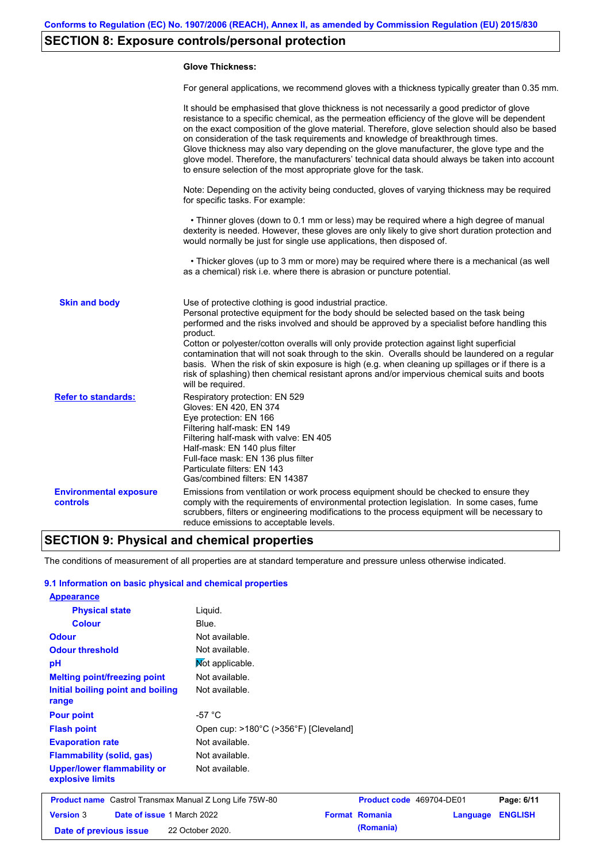## **SECTION 8: Exposure controls/personal protection**

#### **Glove Thickness:**

For general applications, we recommend gloves with a thickness typically greater than 0.35 mm.

|                                           | It should be emphasised that glove thickness is not necessarily a good predictor of glove<br>resistance to a specific chemical, as the permeation efficiency of the glove will be dependent<br>on the exact composition of the glove material. Therefore, glove selection should also be based<br>on consideration of the task requirements and knowledge of breakthrough times.<br>Glove thickness may also vary depending on the glove manufacturer, the glove type and the<br>glove model. Therefore, the manufacturers' technical data should always be taken into account<br>to ensure selection of the most appropriate glove for the task.                                     |
|-------------------------------------------|---------------------------------------------------------------------------------------------------------------------------------------------------------------------------------------------------------------------------------------------------------------------------------------------------------------------------------------------------------------------------------------------------------------------------------------------------------------------------------------------------------------------------------------------------------------------------------------------------------------------------------------------------------------------------------------|
|                                           | Note: Depending on the activity being conducted, gloves of varying thickness may be required<br>for specific tasks. For example:                                                                                                                                                                                                                                                                                                                                                                                                                                                                                                                                                      |
|                                           | • Thinner gloves (down to 0.1 mm or less) may be required where a high degree of manual<br>dexterity is needed. However, these gloves are only likely to give short duration protection and<br>would normally be just for single use applications, then disposed of.                                                                                                                                                                                                                                                                                                                                                                                                                  |
|                                           | • Thicker gloves (up to 3 mm or more) may be required where there is a mechanical (as well<br>as a chemical) risk i.e. where there is abrasion or puncture potential.                                                                                                                                                                                                                                                                                                                                                                                                                                                                                                                 |
| <b>Skin and body</b>                      | Use of protective clothing is good industrial practice.<br>Personal protective equipment for the body should be selected based on the task being<br>performed and the risks involved and should be approved by a specialist before handling this<br>product.<br>Cotton or polyester/cotton overalls will only provide protection against light superficial<br>contamination that will not soak through to the skin. Overalls should be laundered on a regular<br>basis. When the risk of skin exposure is high (e.g. when cleaning up spillages or if there is a<br>risk of splashing) then chemical resistant aprons and/or impervious chemical suits and boots<br>will be required. |
| <b>Refer to standards:</b>                | Respiratory protection: EN 529<br>Gloves: EN 420, EN 374<br>Eye protection: EN 166<br>Filtering half-mask: EN 149<br>Filtering half-mask with valve: EN 405<br>Half-mask: EN 140 plus filter<br>Full-face mask: EN 136 plus filter<br>Particulate filters: EN 143<br>Gas/combined filters: EN 14387                                                                                                                                                                                                                                                                                                                                                                                   |
| <b>Environmental exposure</b><br>controls | Emissions from ventilation or work process equipment should be checked to ensure they<br>comply with the requirements of environmental protection legislation. In some cases, fume<br>scrubbers, filters or engineering modifications to the process equipment will be necessary to<br>reduce emissions to acceptable levels.                                                                                                                                                                                                                                                                                                                                                         |

### **SECTION 9: Physical and chemical properties**

The conditions of measurement of all properties are at standard temperature and pressure unless otherwise indicated.

#### **9.1 Information on basic physical and chemical properties**

| <b>Appearance</b>                                              |                                       |                          |          |                |
|----------------------------------------------------------------|---------------------------------------|--------------------------|----------|----------------|
| <b>Physical state</b>                                          | Liquid.                               |                          |          |                |
| <b>Colour</b>                                                  | Blue.                                 |                          |          |                |
| <b>Odour</b>                                                   | Not available.                        |                          |          |                |
| <b>Odour threshold</b>                                         | Not available.                        |                          |          |                |
| pH                                                             | Not applicable.                       |                          |          |                |
| <b>Melting point/freezing point</b>                            | Not available.                        |                          |          |                |
| Initial boiling point and boiling<br>range                     | Not available.                        |                          |          |                |
| <b>Pour point</b>                                              | $-57 °C$                              |                          |          |                |
| <b>Flash point</b>                                             | Open cup: >180°C (>356°F) [Cleveland] |                          |          |                |
| <b>Evaporation rate</b>                                        | Not available.                        |                          |          |                |
| <b>Flammability (solid, gas)</b>                               | Not available.                        |                          |          |                |
| <b>Upper/lower flammability or</b><br>explosive limits         | Not available.                        |                          |          |                |
| <b>Product name</b> Castrol Transmax Manual Z Long Life 75W-80 |                                       | Product code 469704-DE01 |          | Page: 6/11     |
| Date of issue 1 March 2022<br><b>Version 3</b>                 |                                       | <b>Format Romania</b>    | Language | <b>ENGLISH</b> |

**Date of previous issue (Romania)** 22 October 2020.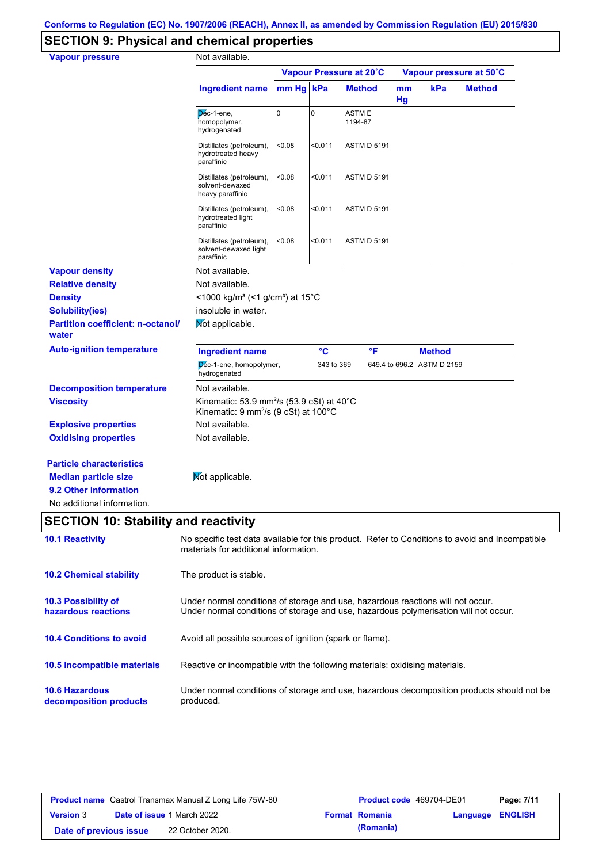# **SECTION 9: Physical and chemical properties**

| <b>Vapour pressure</b>                            | Not available.                                                                                                                                                          |        |                 |                         |          |                            |                         |
|---------------------------------------------------|-------------------------------------------------------------------------------------------------------------------------------------------------------------------------|--------|-----------------|-------------------------|----------|----------------------------|-------------------------|
|                                                   |                                                                                                                                                                         |        |                 | Vapour Pressure at 20°C |          |                            | Vapour pressure at 50°C |
|                                                   | Ingredient name mm Hg                                                                                                                                                   |        | kPa             | <b>Method</b>           | mm<br>Hg | kPa                        | <b>Method</b>           |
|                                                   | Dec-1-ene,<br>homopolymer,<br>hydrogenated                                                                                                                              | 0      | $\overline{0}$  | ASTM E<br>1194-87       |          |                            |                         |
|                                                   | Distillates (petroleum),<br>hydrotreated heavy<br>paraffinic                                                                                                            | < 0.08 | < 0.011         | <b>ASTM D 5191</b>      |          |                            |                         |
|                                                   | Distillates (petroleum),<br>solvent-dewaxed<br>heavy paraffinic                                                                                                         | < 0.08 | < 0.011         | <b>ASTM D 5191</b>      |          |                            |                         |
|                                                   | Distillates (petroleum),<br>hydrotreated light<br>paraffinic                                                                                                            | < 0.08 | < 0.011         | <b>ASTM D 5191</b>      |          |                            |                         |
|                                                   | Distillates (petroleum),<br>solvent-dewaxed light<br>paraffinic                                                                                                         | < 0.08 | < 0.011         | <b>ASTM D 5191</b>      |          |                            |                         |
| <b>Vapour density</b>                             | Not available.                                                                                                                                                          |        |                 |                         |          |                            |                         |
| <b>Relative density</b>                           | Not available.                                                                                                                                                          |        |                 |                         |          |                            |                         |
| <b>Density</b>                                    | <1000 kg/m <sup>3</sup> (<1 g/cm <sup>3</sup> ) at 15 <sup>°</sup> C                                                                                                    |        |                 |                         |          |                            |                         |
| <b>Solubility(ies)</b>                            | insoluble in water.                                                                                                                                                     |        |                 |                         |          |                            |                         |
| <b>Partition coefficient: n-octanol/</b><br>water | Mot applicable.                                                                                                                                                         |        |                 |                         |          |                            |                         |
| <b>Auto-ignition temperature</b>                  | <b>Ingredient name</b>                                                                                                                                                  |        | $\rm ^{\circ}C$ | °F                      |          | <b>Method</b>              |                         |
|                                                   | Dec-1-ene, homopolymer,<br>hydrogenated                                                                                                                                 |        | 343 to 369      |                         |          | 649.4 to 696.2 ASTM D 2159 |                         |
| <b>Decomposition temperature</b>                  | Not available.                                                                                                                                                          |        |                 |                         |          |                            |                         |
| <b>Viscosity</b>                                  | Kinematic: 53.9 mm <sup>2</sup> /s (53.9 cSt) at $40^{\circ}$ C<br>Kinematic: $9 \text{ mm}^2\text{/s}$ (9 cSt) at 100 $^{\circ}$ C                                     |        |                 |                         |          |                            |                         |
| <b>Explosive properties</b>                       | Not available.                                                                                                                                                          |        |                 |                         |          |                            |                         |
| <b>Oxidising properties</b>                       | Not available.                                                                                                                                                          |        |                 |                         |          |                            |                         |
| <b>Particle characteristics</b>                   |                                                                                                                                                                         |        |                 |                         |          |                            |                         |
| <b>Median particle size</b>                       | Mot applicable.                                                                                                                                                         |        |                 |                         |          |                            |                         |
| 9.2 Other information                             |                                                                                                                                                                         |        |                 |                         |          |                            |                         |
| No additional information.                        |                                                                                                                                                                         |        |                 |                         |          |                            |                         |
| <b>SECTION 10: Stability and reactivity</b>       |                                                                                                                                                                         |        |                 |                         |          |                            |                         |
| <b>10.1 Reactivity</b>                            | No specific test data available for this product. Refer to Conditions to avoid and Incompatible<br>materials for additional information.                                |        |                 |                         |          |                            |                         |
|                                                   |                                                                                                                                                                         |        |                 |                         |          |                            |                         |
| <b>10.2 Chemical stability</b>                    | The product is stable.                                                                                                                                                  |        |                 |                         |          |                            |                         |
| <b>10.3 Possibility of</b><br>hazardous reactions | Under normal conditions of storage and use, hazardous reactions will not occur.<br>Under normal conditions of storage and use, hazardous polymerisation will not occur. |        |                 |                         |          |                            |                         |
| <b>10.4 Conditions to avoid</b>                   | Avoid all possible sources of ignition (spark or flame).                                                                                                                |        |                 |                         |          |                            |                         |
| 10.5 Incompatible materials                       | Reactive or incompatible with the following materials: oxidising materials.                                                                                             |        |                 |                         |          |                            |                         |

**10.6 Hazardous decomposition products** Under normal conditions of storage and use, hazardous decomposition products should not be produced.

|                        | <b>Product name</b> Castrol Transmax Manual Z Long Life 75W-80 | <b>Product code</b> 469704-DE01 |                  | Page: 7/11 |
|------------------------|----------------------------------------------------------------|---------------------------------|------------------|------------|
| <b>Version 3</b>       | <b>Date of issue 1 March 2022</b>                              | <b>Format Romania</b>           | Language ENGLISH |            |
| Date of previous issue | 22 October 2020.                                               | (Romania)                       |                  |            |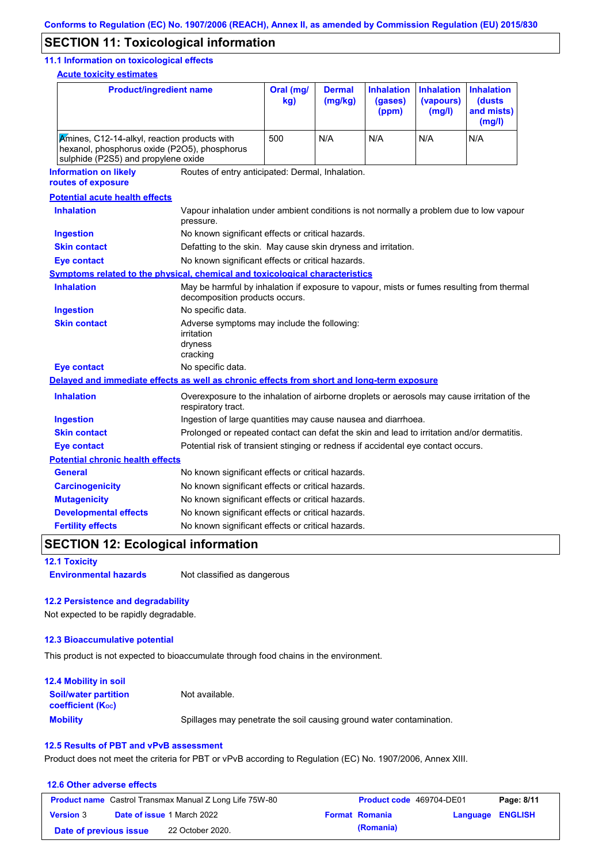### **SECTION 11: Toxicological information**

#### **11.1 Information on toxicological effects**

**Acute toxicity estimates**

| <b>Product/ingredient name</b>                                                                                                      |                                                                                                                   | Oral (mg/<br>kg)                                                                                                            | <b>Dermal</b><br>(mg/kg) | <b>Inhalation</b><br>(gases)<br>(ppm) | <b>Inhalation</b><br>(vapours)<br>(mg/l) | <b>Inhalation</b><br>(dusts<br>and mists)<br>(mg/l) |
|-------------------------------------------------------------------------------------------------------------------------------------|-------------------------------------------------------------------------------------------------------------------|-----------------------------------------------------------------------------------------------------------------------------|--------------------------|---------------------------------------|------------------------------------------|-----------------------------------------------------|
| Amines, C12-14-alkyl, reaction products with<br>hexanol, phosphorus oxide (P2O5), phosphorus<br>sulphide (P2S5) and propylene oxide |                                                                                                                   | 500                                                                                                                         | N/A                      | N/A                                   | N/A                                      | N/A                                                 |
| <b>Information on likely</b><br>routes of exposure                                                                                  | Routes of entry anticipated: Dermal, Inhalation.                                                                  |                                                                                                                             |                          |                                       |                                          |                                                     |
| <b>Potential acute health effects</b>                                                                                               |                                                                                                                   |                                                                                                                             |                          |                                       |                                          |                                                     |
| <b>Inhalation</b>                                                                                                                   | Vapour inhalation under ambient conditions is not normally a problem due to low vapour<br>pressure.               |                                                                                                                             |                          |                                       |                                          |                                                     |
| <b>Ingestion</b>                                                                                                                    | No known significant effects or critical hazards.                                                                 |                                                                                                                             |                          |                                       |                                          |                                                     |
| <b>Skin contact</b>                                                                                                                 | Defatting to the skin. May cause skin dryness and irritation.                                                     |                                                                                                                             |                          |                                       |                                          |                                                     |
| <b>Eye contact</b>                                                                                                                  | No known significant effects or critical hazards.                                                                 |                                                                                                                             |                          |                                       |                                          |                                                     |
| Symptoms related to the physical, chemical and toxicological characteristics                                                        |                                                                                                                   |                                                                                                                             |                          |                                       |                                          |                                                     |
| <b>Inhalation</b>                                                                                                                   |                                                                                                                   | May be harmful by inhalation if exposure to vapour, mists or fumes resulting from thermal<br>decomposition products occurs. |                          |                                       |                                          |                                                     |
| <b>Ingestion</b>                                                                                                                    | No specific data.                                                                                                 |                                                                                                                             |                          |                                       |                                          |                                                     |
| <b>Skin contact</b>                                                                                                                 | Adverse symptoms may include the following:<br>irritation<br>dryness<br>cracking                                  |                                                                                                                             |                          |                                       |                                          |                                                     |
| <b>Eye contact</b>                                                                                                                  | No specific data.                                                                                                 |                                                                                                                             |                          |                                       |                                          |                                                     |
| Delayed and immediate effects as well as chronic effects from short and long-term exposure                                          |                                                                                                                   |                                                                                                                             |                          |                                       |                                          |                                                     |
| <b>Inhalation</b>                                                                                                                   | Overexposure to the inhalation of airborne droplets or aerosols may cause irritation of the<br>respiratory tract. |                                                                                                                             |                          |                                       |                                          |                                                     |
| <b>Ingestion</b>                                                                                                                    |                                                                                                                   | Ingestion of large quantities may cause nausea and diarrhoea.                                                               |                          |                                       |                                          |                                                     |
| <b>Skin contact</b>                                                                                                                 |                                                                                                                   | Prolonged or repeated contact can defat the skin and lead to irritation and/or dermatitis.                                  |                          |                                       |                                          |                                                     |
| <b>Eye contact</b>                                                                                                                  | Potential risk of transient stinging or redness if accidental eye contact occurs.                                 |                                                                                                                             |                          |                                       |                                          |                                                     |
| <b>Potential chronic health effects</b>                                                                                             |                                                                                                                   |                                                                                                                             |                          |                                       |                                          |                                                     |
| <b>General</b>                                                                                                                      | No known significant effects or critical hazards.                                                                 |                                                                                                                             |                          |                                       |                                          |                                                     |
| <b>Carcinogenicity</b>                                                                                                              | No known significant effects or critical hazards.                                                                 |                                                                                                                             |                          |                                       |                                          |                                                     |
| <b>Mutagenicity</b>                                                                                                                 | No known significant effects or critical hazards.                                                                 |                                                                                                                             |                          |                                       |                                          |                                                     |
| <b>Developmental effects</b>                                                                                                        | No known significant effects or critical hazards.                                                                 |                                                                                                                             |                          |                                       |                                          |                                                     |
| <b>Fertility effects</b>                                                                                                            | No known significant effects or critical hazards.                                                                 |                                                                                                                             |                          |                                       |                                          |                                                     |

## **SECTION 12: Ecological information**

**12.1 Toxicity**

**Environmental hazards** Not classified as dangerous

#### **12.2 Persistence and degradability**

Not expected to be rapidly degradable.

#### **12.3 Bioaccumulative potential**

This product is not expected to bioaccumulate through food chains in the environment.

| <b>12.4 Mobility in soil</b>                            |                                                                      |
|---------------------------------------------------------|----------------------------------------------------------------------|
| <b>Soil/water partition</b><br><b>coefficient (Koc)</b> | Not available.                                                       |
| <b>Mobility</b>                                         | Spillages may penetrate the soil causing ground water contamination. |

#### **12.5 Results of PBT and vPvB assessment**

Product does not meet the criteria for PBT or vPvB according to Regulation (EC) No. 1907/2006, Annex XIII.

#### **12.6 Other adverse effects Product name** Castrol Transmax Manual Z Long Life 75W-80 **Product code** 469704-DE01 **Page: 8/11 Version** 3 **Date of issue** 1 March 2022 **Format Romania Language ENGLISH Date of previous issue (Romania)** 22 October 2020.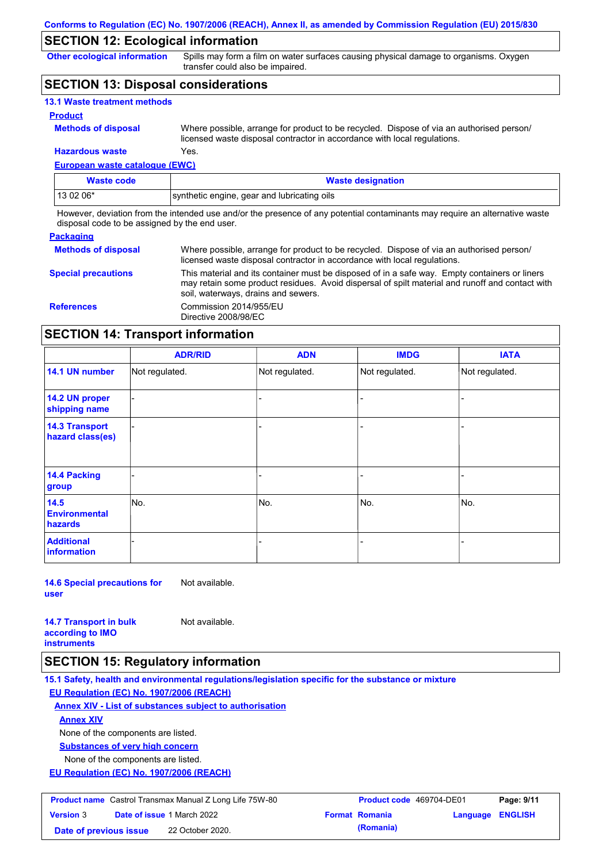## **SECTION 12: Ecological information**

**Other ecological information**

Spills may form a film on water surfaces causing physical damage to organisms. Oxygen transfer could also be impaired.

### **SECTION 13: Disposal considerations**

| <b>13.1 Waste treatment methods</b> |                                                                                                                                                                      |
|-------------------------------------|----------------------------------------------------------------------------------------------------------------------------------------------------------------------|
| <b>Product</b>                      |                                                                                                                                                                      |
| <b>Methods of disposal</b>          | Where possible, arrange for product to be recycled. Dispose of via an authorised person/<br>licensed waste disposal contractor in accordance with local regulations. |
| <b>Hazardous waste</b>              | Yes.                                                                                                                                                                 |

## **European waste catalogue (EWC)**

| <b>Waste code</b> | <b>Waste designation</b>                    |
|-------------------|---------------------------------------------|
| 13 02 06*         | synthetic engine, gear and lubricating oils |

However, deviation from the intended use and/or the presence of any potential contaminants may require an alternative waste disposal code to be assigned by the end user.

#### **Packaging**

| <b>Methods of disposal</b> | Where possible, arrange for product to be recycled. Dispose of via an authorised person/<br>licensed waste disposal contractor in accordance with local regulations.                                                                    |
|----------------------------|-----------------------------------------------------------------------------------------------------------------------------------------------------------------------------------------------------------------------------------------|
| <b>Special precautions</b> | This material and its container must be disposed of in a safe way. Empty containers or liners<br>may retain some product residues. Avoid dispersal of spilt material and runoff and contact with<br>soil, waterways, drains and sewers. |
| <b>References</b>          | Commission 2014/955/EU<br>Directive 2008/98/EC                                                                                                                                                                                          |

## **SECTION 14: Transport information**

|                                           | <b>ADR/RID</b> | <b>ADN</b>     | <b>IMDG</b>    | <b>IATA</b>    |
|-------------------------------------------|----------------|----------------|----------------|----------------|
| 14.1 UN number                            | Not regulated. | Not regulated. | Not regulated. | Not regulated. |
| 14.2 UN proper<br>shipping name           |                |                |                |                |
| <b>14.3 Transport</b><br>hazard class(es) |                |                | -              |                |
| 14.4 Packing<br>group                     |                |                |                |                |
| 14.5<br><b>Environmental</b><br>hazards   | No.            | No.            | No.            | No.            |
| <b>Additional</b><br>information          |                |                | -              |                |

**14.6 Special precautions for user** Not available.

**14.7 Transport in bulk according to IMO instruments**

Not available.

### **SECTION 15: Regulatory information**

**15.1 Safety, health and environmental regulations/legislation specific for the substance or mixture**

**EU Regulation (EC) No. 1907/2006 (REACH)**

**Annex XIV - List of substances subject to authorisation**

**Annex XIV**

None of the components are listed.

**Substances of very high concern**

None of the components are listed.

**EU Regulation (EC) No. 1907/2006 (REACH)**

| <b>Product name</b> Castrol Transmax Manual Z Long Life 75W-80 |                                   | <b>Product code</b> 469704-DE01 |  | Page: 9/11            |                         |  |
|----------------------------------------------------------------|-----------------------------------|---------------------------------|--|-----------------------|-------------------------|--|
| <b>Version 3</b>                                               | <b>Date of issue 1 March 2022</b> |                                 |  | <b>Format Romania</b> | <b>Language ENGLISH</b> |  |
| Date of previous issue                                         |                                   | 22 October 2020.                |  | (Romania)             |                         |  |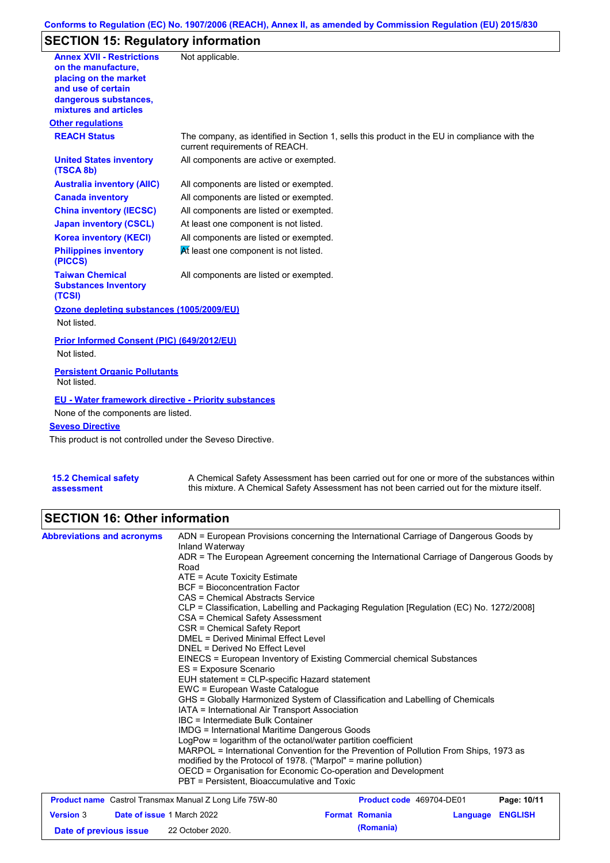#### **Conforms to Regulation (EC) No. 1907/2006 (REACH), Annex II, as amended by Commission Regulation (EU) 2015/830**

## **SECTION 15: Regulatory information**

| <b>Annex XVII - Restrictions</b><br>on the manufacture,<br>placing on the market<br>and use of certain<br>dangerous substances, | Not applicable.                                                                                                                |
|---------------------------------------------------------------------------------------------------------------------------------|--------------------------------------------------------------------------------------------------------------------------------|
| mixtures and articles                                                                                                           |                                                                                                                                |
| <b>Other regulations</b>                                                                                                        |                                                                                                                                |
| <b>REACH Status</b>                                                                                                             | The company, as identified in Section 1, sells this product in the EU in compliance with the<br>current requirements of REACH. |
| <b>United States inventory</b><br>(TSCA 8b)                                                                                     | All components are active or exempted.                                                                                         |
| <b>Australia inventory (AIIC)</b>                                                                                               | All components are listed or exempted.                                                                                         |
| <b>Canada inventory</b>                                                                                                         | All components are listed or exempted.                                                                                         |
| <b>China inventory (IECSC)</b>                                                                                                  | All components are listed or exempted.                                                                                         |
| <b>Japan inventory (CSCL)</b>                                                                                                   | At least one component is not listed.                                                                                          |
| <b>Korea inventory (KECI)</b>                                                                                                   | All components are listed or exempted.                                                                                         |
| <b>Philippines inventory</b><br>(PICCS)                                                                                         | At least one component is not listed.                                                                                          |
| <b>Taiwan Chemical</b><br><b>Substances Inventory</b><br>(TCSI)                                                                 | All components are listed or exempted.                                                                                         |
| Ozone depleting substances (1005/2009/EU)                                                                                       |                                                                                                                                |
| Not listed.                                                                                                                     |                                                                                                                                |
| Prior Informed Consent (PIC) (649/2012/EU)                                                                                      |                                                                                                                                |
| Not listed.                                                                                                                     |                                                                                                                                |
| <b>Persistent Organic Pollutants</b><br>Not listed.                                                                             |                                                                                                                                |
| <b>EU - Water framework directive - Priority substances</b>                                                                     |                                                                                                                                |
| None of the components are listed.                                                                                              |                                                                                                                                |
| <b>Seveso Directive</b>                                                                                                         |                                                                                                                                |
| This product is not controlled under the Seveso Directive.                                                                      |                                                                                                                                |
|                                                                                                                                 |                                                                                                                                |
| <b>15.2 Chemical safety</b>                                                                                                     | A Chemical Safety Assessment has been carried out for one or more of the substances within                                     |

this mixture. A Chemical Safety Assessment has not been carried out for the mixture itself.

### **SECTION 16: Other information**

**assessment**

| <b>Abbreviations and acronyms</b> | ADN = European Provisions concerning the International Carriage of Dangerous Goods by<br>Inland Waterway<br>ADR = The European Agreement concerning the International Carriage of Dangerous Goods by<br>Road<br>ATE = Acute Toxicity Estimate<br><b>BCF</b> = Bioconcentration Factor<br>CAS = Chemical Abstracts Service<br>CLP = Classification, Labelling and Packaging Regulation [Regulation (EC) No. 1272/2008]                                                                                                                                                                                                                                        |                                                                                                                                                          |          |                |  |  |
|-----------------------------------|--------------------------------------------------------------------------------------------------------------------------------------------------------------------------------------------------------------------------------------------------------------------------------------------------------------------------------------------------------------------------------------------------------------------------------------------------------------------------------------------------------------------------------------------------------------------------------------------------------------------------------------------------------------|----------------------------------------------------------------------------------------------------------------------------------------------------------|----------|----------------|--|--|
|                                   | CSR = Chemical Safety Report<br>DNEL = Derived No Effect Level<br>ES = Exposure Scenario                                                                                                                                                                                                                                                                                                                                                                                                                                                                                                                                                                     | CSA = Chemical Safety Assessment<br><b>DMEL = Derived Minimal Effect Level</b><br>EINECS = European Inventory of Existing Commercial chemical Substances |          |                |  |  |
|                                   | EUH statement = CLP-specific Hazard statement<br>EWC = European Waste Catalogue<br>GHS = Globally Harmonized System of Classification and Labelling of Chemicals<br>IATA = International Air Transport Association<br>IBC = Intermediate Bulk Container<br><b>IMDG</b> = International Maritime Dangerous Goods<br>LogPow = logarithm of the octanol/water partition coefficient<br>MARPOL = International Convention for the Prevention of Pollution From Ships, 1973 as<br>modified by the Protocol of 1978. ("Marpol" = marine pollution)<br>OECD = Organisation for Economic Co-operation and Development<br>PBT = Persistent, Bioaccumulative and Toxic |                                                                                                                                                          |          |                |  |  |
|                                   | <b>Product name</b> Castrol Transmax Manual Z Long Life 75W-80                                                                                                                                                                                                                                                                                                                                                                                                                                                                                                                                                                                               | <b>Product code</b> 469704-DE01                                                                                                                          |          | Page: 10/11    |  |  |
| <b>Version 3</b>                  | Date of issue 1 March 2022                                                                                                                                                                                                                                                                                                                                                                                                                                                                                                                                                                                                                                   | <b>Format Romania</b>                                                                                                                                    | Language | <b>ENGLISH</b> |  |  |

**Date of previous issue (Romania)** 22 October 2020.